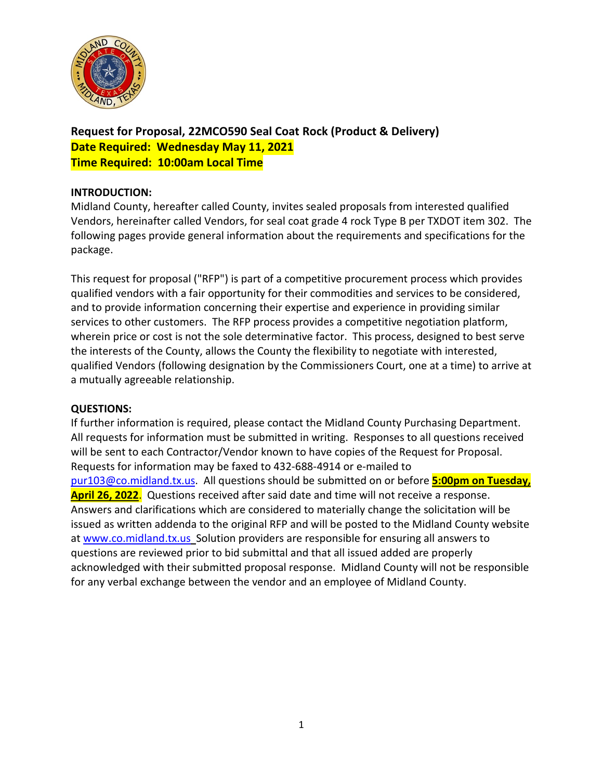

**Request for Proposal, 22MCO590 Seal Coat Rock (Product & Delivery) Date Required: Wednesday May 11, 2021 Time Required: 10:00am Local Time**

#### **INTRODUCTION:**

Midland County, hereafter called County, invites sealed proposals from interested qualified Vendors, hereinafter called Vendors, for seal coat grade 4 rock Type B per TXDOT item 302. The following pages provide general information about the requirements and specifications for the package.

This request for proposal ("RFP") is part of a competitive procurement process which provides qualified vendors with a fair opportunity for their commodities and services to be considered, and to provide information concerning their expertise and experience in providing similar services to other customers. The RFP process provides a competitive negotiation platform, wherein price or cost is not the sole determinative factor. This process, designed to best serve the interests of the County, allows the County the flexibility to negotiate with interested, qualified Vendors (following designation by the Commissioners Court, one at a time) to arrive at a mutually agreeable relationship.

### **QUESTIONS:**

If further information is required, please contact the Midland County Purchasing Department. All requests for information must be submitted in writing. Responses to all questions received will be sent to each Contractor/Vendor known to have copies of the Request for Proposal. Requests for information may be faxed to 432-688-4914 or e-mailed to [pur103@co.midland.tx.us.](mailto:pur103@co.midland.tx.us) All questions should be submitted on or before **5:00pm on Tuesday, April 26, 2022**. Questions received after said date and time will not receive a response. Answers and clarifications which are considered to materially change the solicitation will be issued as written addenda to the original RFP and will be posted to the Midland County website at [www.co.midland.tx.us](http://www.co.midland.tx.us/) Solution providers are responsible for ensuring all answers to questions are reviewed prior to bid submittal and that all issued added are properly acknowledged with their submitted proposal response. Midland County will not be responsible for any verbal exchange between the vendor and an employee of Midland County.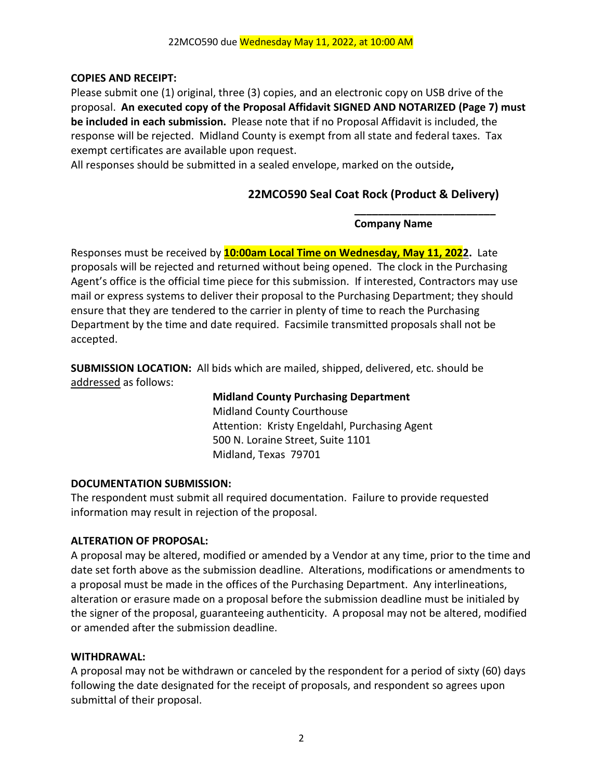### **COPIES AND RECEIPT:**

Please submit one (1) original, three (3) copies, and an electronic copy on USB drive of the proposal. **An executed copy of the Proposal Affidavit SIGNED AND NOTARIZED (Page 7) must be included in each submission.** Please note that if no Proposal Affidavit is included, the response will be rejected. Midland County is exempt from all state and federal taxes. Tax exempt certificates are available upon request.

All responses should be submitted in a sealed envelope, marked on the outside**,** 

# **22MCO590 Seal Coat Rock (Product & Delivery)**

### **Company Name**

**\_\_\_\_\_\_\_\_\_\_\_\_\_\_\_\_\_\_\_\_\_\_\_\_**

Responses must be received by **10:00am Local Time on Wednesday, May 11, 2022.** Late proposals will be rejected and returned without being opened. The clock in the Purchasing Agent's office is the official time piece for this submission. If interested, Contractors may use mail or express systems to deliver their proposal to the Purchasing Department; they should ensure that they are tendered to the carrier in plenty of time to reach the Purchasing Department by the time and date required. Facsimile transmitted proposals shall not be accepted.

**SUBMISSION LOCATION:** All bids which are mailed, shipped, delivered, etc. should be addressed as follows:

> **Midland County Purchasing Department** Midland County Courthouse Attention: Kristy Engeldahl, Purchasing Agent 500 N. Loraine Street, Suite 1101 Midland, Texas 79701

### **DOCUMENTATION SUBMISSION:**

The respondent must submit all required documentation. Failure to provide requested information may result in rejection of the proposal.

## **ALTERATION OF PROPOSAL:**

A proposal may be altered, modified or amended by a Vendor at any time, prior to the time and date set forth above as the submission deadline. Alterations, modifications or amendments to a proposal must be made in the offices of the Purchasing Department. Any interlineations, alteration or erasure made on a proposal before the submission deadline must be initialed by the signer of the proposal, guaranteeing authenticity. A proposal may not be altered, modified or amended after the submission deadline.

### **WITHDRAWAL:**

A proposal may not be withdrawn or canceled by the respondent for a period of sixty (60) days following the date designated for the receipt of proposals, and respondent so agrees upon submittal of their proposal.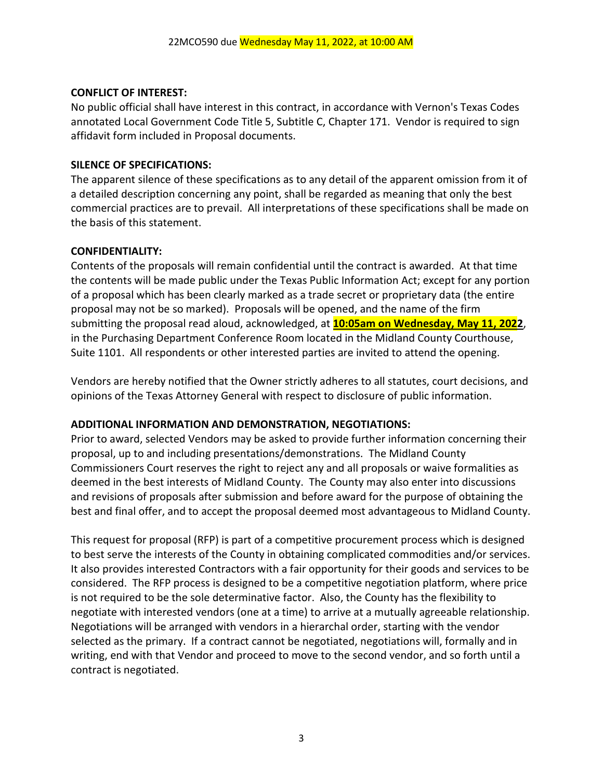#### **CONFLICT OF INTEREST:**

No public official shall have interest in this contract, in accordance with Vernon's Texas Codes annotated Local Government Code Title 5, Subtitle C, Chapter 171. Vendor is required to sign affidavit form included in Proposal documents.

#### **SILENCE OF SPECIFICATIONS:**

The apparent silence of these specifications as to any detail of the apparent omission from it of a detailed description concerning any point, shall be regarded as meaning that only the best commercial practices are to prevail. All interpretations of these specifications shall be made on the basis of this statement.

#### **CONFIDENTIALITY:**

Contents of the proposals will remain confidential until the contract is awarded. At that time the contents will be made public under the Texas Public Information Act; except for any portion of a proposal which has been clearly marked as a trade secret or proprietary data (the entire proposal may not be so marked). Proposals will be opened, and the name of the firm submitting the proposal read aloud, acknowledged, at **10:05am on Wednesday, May 11, 2022**, in the Purchasing Department Conference Room located in the Midland County Courthouse, Suite 1101. All respondents or other interested parties are invited to attend the opening.

Vendors are hereby notified that the Owner strictly adheres to all statutes, court decisions, and opinions of the Texas Attorney General with respect to disclosure of public information.

### **ADDITIONAL INFORMATION AND DEMONSTRATION, NEGOTIATIONS:**

Prior to award, selected Vendors may be asked to provide further information concerning their proposal, up to and including presentations/demonstrations. The Midland County Commissioners Court reserves the right to reject any and all proposals or waive formalities as deemed in the best interests of Midland County. The County may also enter into discussions and revisions of proposals after submission and before award for the purpose of obtaining the best and final offer, and to accept the proposal deemed most advantageous to Midland County.

This request for proposal (RFP) is part of a competitive procurement process which is designed to best serve the interests of the County in obtaining complicated commodities and/or services. It also provides interested Contractors with a fair opportunity for their goods and services to be considered. The RFP process is designed to be a competitive negotiation platform, where price is not required to be the sole determinative factor. Also, the County has the flexibility to negotiate with interested vendors (one at a time) to arrive at a mutually agreeable relationship. Negotiations will be arranged with vendors in a hierarchal order, starting with the vendor selected as the primary. If a contract cannot be negotiated, negotiations will, formally and in writing, end with that Vendor and proceed to move to the second vendor, and so forth until a contract is negotiated.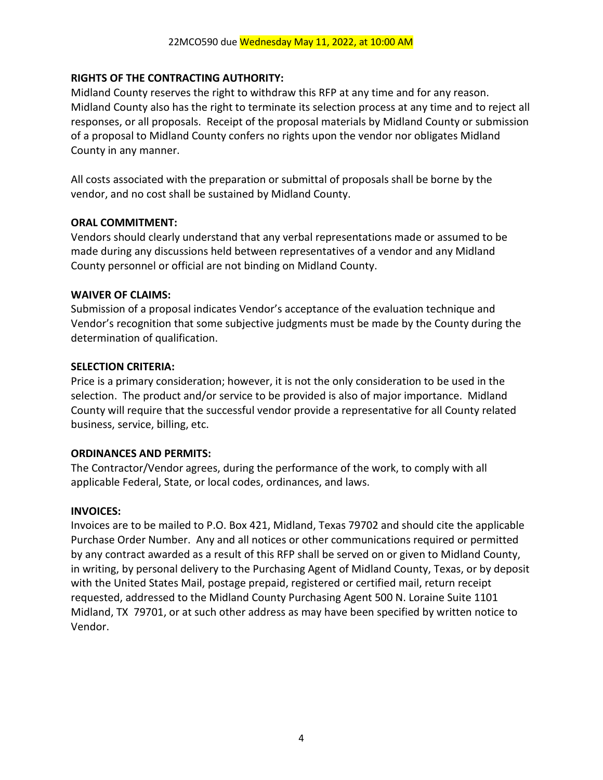### **RIGHTS OF THE CONTRACTING AUTHORITY:**

Midland County reserves the right to withdraw this RFP at any time and for any reason. Midland County also has the right to terminate its selection process at any time and to reject all responses, or all proposals. Receipt of the proposal materials by Midland County or submission of a proposal to Midland County confers no rights upon the vendor nor obligates Midland County in any manner.

All costs associated with the preparation or submittal of proposals shall be borne by the vendor, and no cost shall be sustained by Midland County.

#### **ORAL COMMITMENT:**

Vendors should clearly understand that any verbal representations made or assumed to be made during any discussions held between representatives of a vendor and any Midland County personnel or official are not binding on Midland County.

#### **WAIVER OF CLAIMS:**

Submission of a proposal indicates Vendor's acceptance of the evaluation technique and Vendor's recognition that some subjective judgments must be made by the County during the determination of qualification.

#### **SELECTION CRITERIA:**

Price is a primary consideration; however, it is not the only consideration to be used in the selection. The product and/or service to be provided is also of major importance. Midland County will require that the successful vendor provide a representative for all County related business, service, billing, etc.

### **ORDINANCES AND PERMITS:**

The Contractor/Vendor agrees, during the performance of the work, to comply with all applicable Federal, State, or local codes, ordinances, and laws.

### **INVOICES:**

Invoices are to be mailed to P.O. Box 421, Midland, Texas 79702 and should cite the applicable Purchase Order Number. Any and all notices or other communications required or permitted by any contract awarded as a result of this RFP shall be served on or given to Midland County, in writing, by personal delivery to the Purchasing Agent of Midland County, Texas, or by deposit with the United States Mail, postage prepaid, registered or certified mail, return receipt requested, addressed to the Midland County Purchasing Agent 500 N. Loraine Suite 1101 Midland, TX 79701, or at such other address as may have been specified by written notice to Vendor.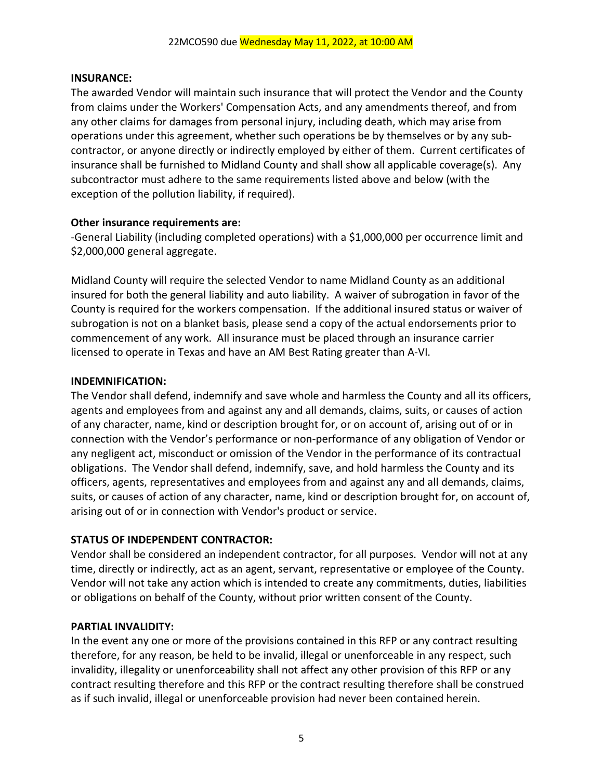#### **INSURANCE:**

The awarded Vendor will maintain such insurance that will protect the Vendor and the County from claims under the Workers' Compensation Acts, and any amendments thereof, and from any other claims for damages from personal injury, including death, which may arise from operations under this agreement, whether such operations be by themselves or by any subcontractor, or anyone directly or indirectly employed by either of them. Current certificates of insurance shall be furnished to Midland County and shall show all applicable coverage(s). Any subcontractor must adhere to the same requirements listed above and below (with the exception of the pollution liability, if required).

### **Other insurance requirements are:**

-General Liability (including completed operations) with a \$1,000,000 per occurrence limit and \$2,000,000 general aggregate.

Midland County will require the selected Vendor to name Midland County as an additional insured for both the general liability and auto liability. A waiver of subrogation in favor of the County is required for the workers compensation. If the additional insured status or waiver of subrogation is not on a blanket basis, please send a copy of the actual endorsements prior to commencement of any work. All insurance must be placed through an insurance carrier licensed to operate in Texas and have an AM Best Rating greater than A-VI.

#### **INDEMNIFICATION:**

The Vendor shall defend, indemnify and save whole and harmless the County and all its officers, agents and employees from and against any and all demands, claims, suits, or causes of action of any character, name, kind or description brought for, or on account of, arising out of or in connection with the Vendor's performance or non-performance of any obligation of Vendor or any negligent act, misconduct or omission of the Vendor in the performance of its contractual obligations. The Vendor shall defend, indemnify, save, and hold harmless the County and its officers, agents, representatives and employees from and against any and all demands, claims, suits, or causes of action of any character, name, kind or description brought for, on account of, arising out of or in connection with Vendor's product or service.

### **STATUS OF INDEPENDENT CONTRACTOR:**

Vendor shall be considered an independent contractor, for all purposes. Vendor will not at any time, directly or indirectly, act as an agent, servant, representative or employee of the County. Vendor will not take any action which is intended to create any commitments, duties, liabilities or obligations on behalf of the County, without prior written consent of the County.

### **PARTIAL INVALIDITY:**

In the event any one or more of the provisions contained in this RFP or any contract resulting therefore, for any reason, be held to be invalid, illegal or unenforceable in any respect, such invalidity, illegality or unenforceability shall not affect any other provision of this RFP or any contract resulting therefore and this RFP or the contract resulting therefore shall be construed as if such invalid, illegal or unenforceable provision had never been contained herein.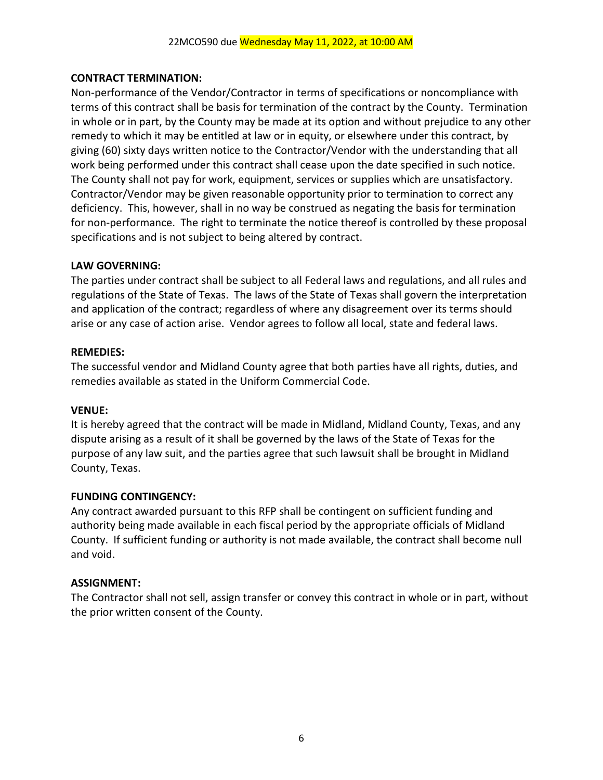### **CONTRACT TERMINATION:**

Non-performance of the Vendor/Contractor in terms of specifications or noncompliance with terms of this contract shall be basis for termination of the contract by the County. Termination in whole or in part, by the County may be made at its option and without prejudice to any other remedy to which it may be entitled at law or in equity, or elsewhere under this contract, by giving (60) sixty days written notice to the Contractor/Vendor with the understanding that all work being performed under this contract shall cease upon the date specified in such notice. The County shall not pay for work, equipment, services or supplies which are unsatisfactory. Contractor/Vendor may be given reasonable opportunity prior to termination to correct any deficiency. This, however, shall in no way be construed as negating the basis for termination for non-performance. The right to terminate the notice thereof is controlled by these proposal specifications and is not subject to being altered by contract.

#### **LAW GOVERNING:**

The parties under contract shall be subject to all Federal laws and regulations, and all rules and regulations of the State of Texas. The laws of the State of Texas shall govern the interpretation and application of the contract; regardless of where any disagreement over its terms should arise or any case of action arise. Vendor agrees to follow all local, state and federal laws.

#### **REMEDIES:**

The successful vendor and Midland County agree that both parties have all rights, duties, and remedies available as stated in the Uniform Commercial Code.

#### **VENUE:**

It is hereby agreed that the contract will be made in Midland, Midland County, Texas, and any dispute arising as a result of it shall be governed by the laws of the State of Texas for the purpose of any law suit, and the parties agree that such lawsuit shall be brought in Midland County, Texas.

### **FUNDING CONTINGENCY:**

Any contract awarded pursuant to this RFP shall be contingent on sufficient funding and authority being made available in each fiscal period by the appropriate officials of Midland County. If sufficient funding or authority is not made available, the contract shall become null and void.

### **ASSIGNMENT:**

The Contractor shall not sell, assign transfer or convey this contract in whole or in part, without the prior written consent of the County.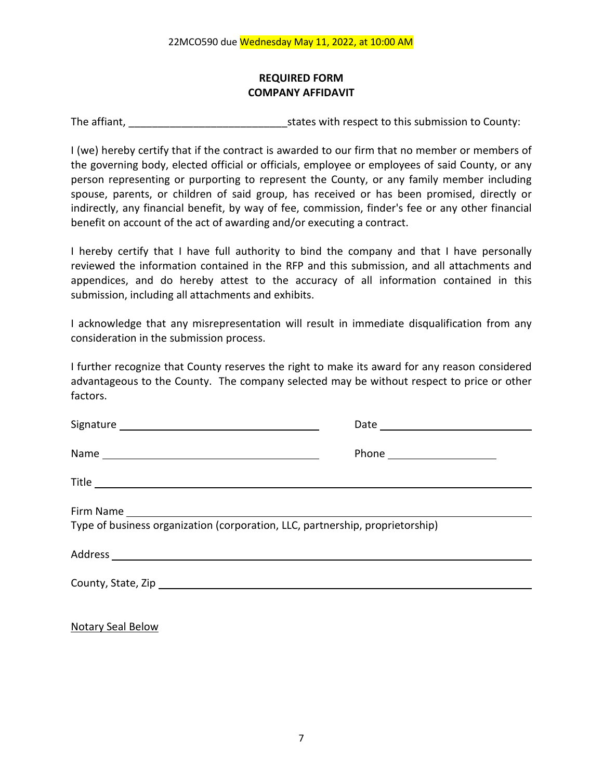### **REQUIRED FORM COMPANY AFFIDAVIT**

The affiant, The affiant, The affiant,  $\frac{1}{2}$  states with respect to this submission to County:

I (we) hereby certify that if the contract is awarded to our firm that no member or members of the governing body, elected official or officials, employee or employees of said County, or any person representing or purporting to represent the County, or any family member including spouse, parents, or children of said group, has received or has been promised, directly or indirectly, any financial benefit, by way of fee, commission, finder's fee or any other financial benefit on account of the act of awarding and/or executing a contract.

I hereby certify that I have full authority to bind the company and that I have personally reviewed the information contained in the RFP and this submission, and all attachments and appendices, and do hereby attest to the accuracy of all information contained in this submission, including all attachments and exhibits.

I acknowledge that any misrepresentation will result in immediate disqualification from any consideration in the submission process.

I further recognize that County reserves the right to make its award for any reason considered advantageous to the County. The company selected may be without respect to price or other factors.

|                                                                               | Phone _______________________ |  |  |
|-------------------------------------------------------------------------------|-------------------------------|--|--|
|                                                                               |                               |  |  |
| Type of business organization (corporation, LLC, partnership, proprietorship) |                               |  |  |
|                                                                               |                               |  |  |
|                                                                               |                               |  |  |
|                                                                               |                               |  |  |

Notary Seal Below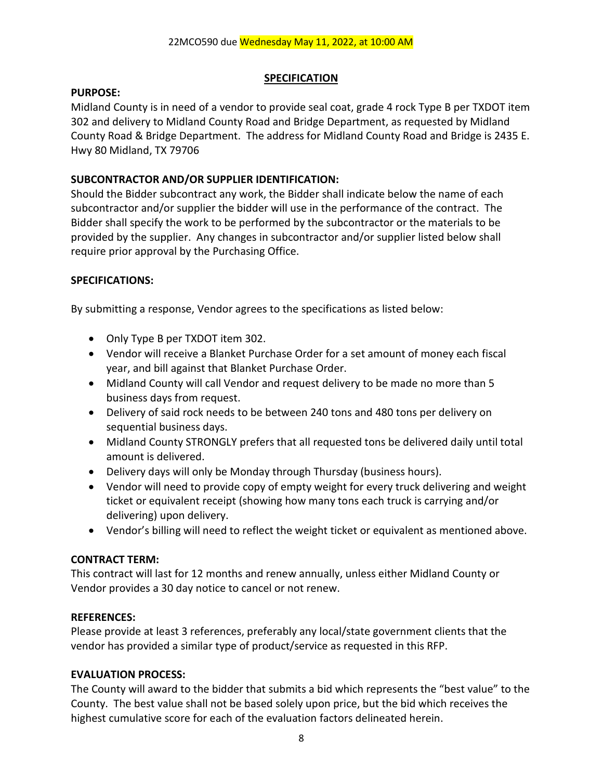#### **SPECIFICATION**

#### **PURPOSE:**

Midland County is in need of a vendor to provide seal coat, grade 4 rock Type B per TXDOT item 302 and delivery to Midland County Road and Bridge Department, as requested by Midland County Road & Bridge Department. The address for Midland County Road and Bridge is 2435 E. Hwy 80 Midland, TX 79706

### **SUBCONTRACTOR AND/OR SUPPLIER IDENTIFICATION:**

Should the Bidder subcontract any work, the Bidder shall indicate below the name of each subcontractor and/or supplier the bidder will use in the performance of the contract. The Bidder shall specify the work to be performed by the subcontractor or the materials to be provided by the supplier. Any changes in subcontractor and/or supplier listed below shall require prior approval by the Purchasing Office.

### **SPECIFICATIONS:**

By submitting a response, Vendor agrees to the specifications as listed below:

- Only Type B per TXDOT item 302.
- Vendor will receive a Blanket Purchase Order for a set amount of money each fiscal year, and bill against that Blanket Purchase Order.
- Midland County will call Vendor and request delivery to be made no more than 5 business days from request.
- Delivery of said rock needs to be between 240 tons and 480 tons per delivery on sequential business days.
- Midland County STRONGLY prefers that all requested tons be delivered daily until total amount is delivered.
- Delivery days will only be Monday through Thursday (business hours).
- Vendor will need to provide copy of empty weight for every truck delivering and weight ticket or equivalent receipt (showing how many tons each truck is carrying and/or delivering) upon delivery.
- Vendor's billing will need to reflect the weight ticket or equivalent as mentioned above.

### **CONTRACT TERM:**

This contract will last for 12 months and renew annually, unless either Midland County or Vendor provides a 30 day notice to cancel or not renew.

### **REFERENCES:**

Please provide at least 3 references, preferably any local/state government clients that the vendor has provided a similar type of product/service as requested in this RFP.

### **EVALUATION PROCESS:**

The County will award to the bidder that submits a bid which represents the "best value" to the County. The best value shall not be based solely upon price, but the bid which receives the highest cumulative score for each of the evaluation factors delineated herein.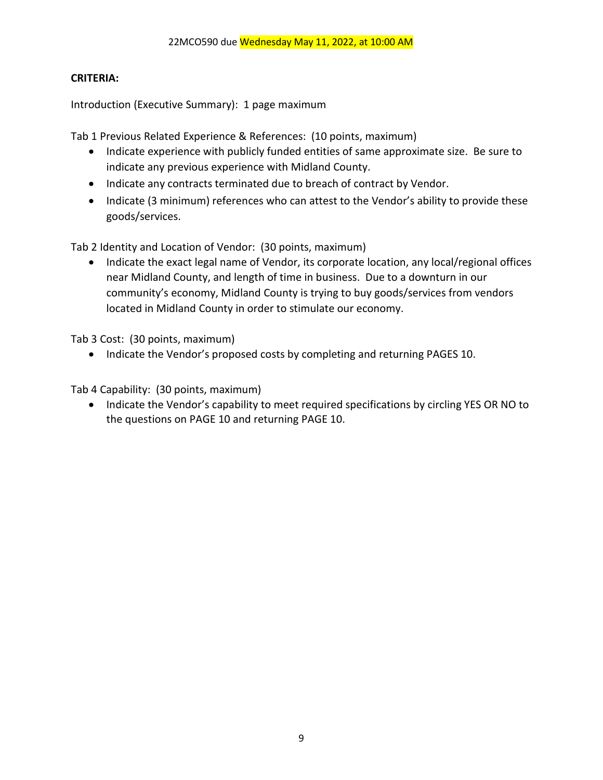### **CRITERIA:**

Introduction (Executive Summary): 1 page maximum

Tab 1 Previous Related Experience & References: (10 points, maximum)

- Indicate experience with publicly funded entities of same approximate size. Be sure to indicate any previous experience with Midland County.
- Indicate any contracts terminated due to breach of contract by Vendor.
- Indicate (3 minimum) references who can attest to the Vendor's ability to provide these goods/services.

Tab 2 Identity and Location of Vendor: (30 points, maximum)

• Indicate the exact legal name of Vendor, its corporate location, any local/regional offices near Midland County, and length of time in business. Due to a downturn in our community's economy, Midland County is trying to buy goods/services from vendors located in Midland County in order to stimulate our economy.

Tab 3 Cost: (30 points, maximum)

• Indicate the Vendor's proposed costs by completing and returning PAGES 10.

Tab 4 Capability: (30 points, maximum)

• Indicate the Vendor's capability to meet required specifications by circling YES OR NO to the questions on PAGE 10 and returning PAGE 10.